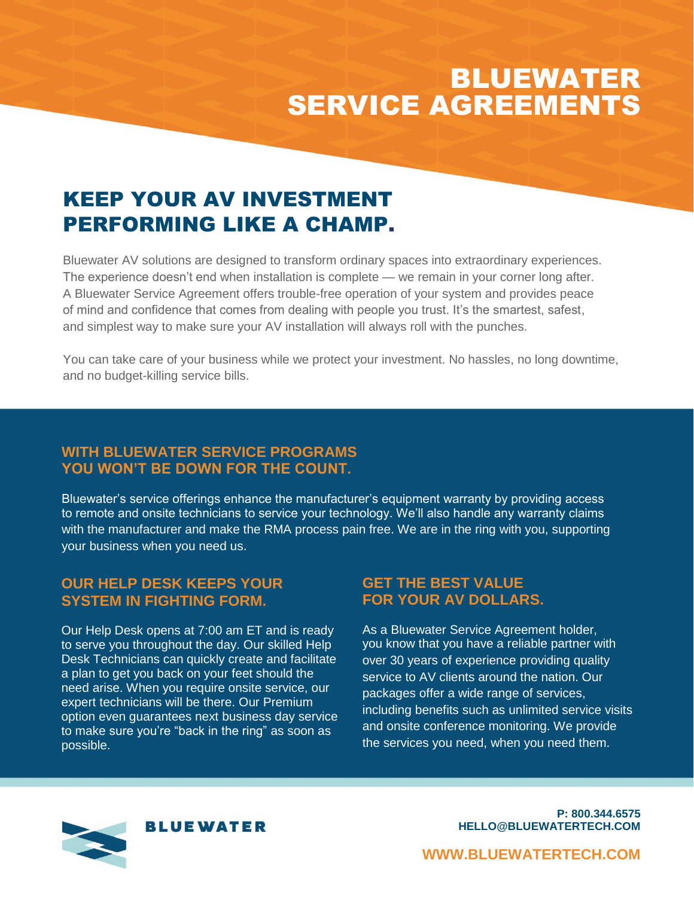# BLUEWATER SERVICE AGREEMENTS

## KEEP YOUR AV INVESTMENT PERFORMING LIKE A CHAMP.

Bluewater AV solutions are designed to transform ordinary spaces into extraordinary experiences. The experience doesn't end when installation is complete — we remain in your corner long after. A Bluewater Service Agreement offers trouble-free operation of your system and provides peace of mind and confidence that comes from dealing with people you trust. It's the smartest, safest, and simplest way to make sure your AV installation will always roll with the punches.

You can take care of your business while we protect your investment. No hassles, no long downtime, and no budget-killing service bills.

### **WITH BLUEWATER SERVICE PROGRAMS YOU WON'T BE DOWN FOR THE COUNT.**

Bluewater's service offerings enhance the manufacturer's equipment warranty by providing access to remote and onsite technicians to service your technology. We'll also handle any warranty claims with the manufacturer and make the RMA process pain free. We are in the ring with you, supporting your business when you need us.

#### **OUR HELP DESK KEEPS YOUR SYSTEM IN FIGHTING FORM.**

Our Help Desk opens at 7:00 am ET and is ready to serve you throughout the day. Our skilled Help Desk Technicians can quickly create and facilitate a plan to get you back on your feet should the need arise. When you require onsite service, our expert technicians will be there. Our Premium option even guarantees next business day service to make sure you're "back in the ring" as soon as possible.

#### **GET THE BEST VALUE FOR YOUR AV DOLLARS.**

As a Bluewater Service Agreement holder, you know that you have a reliable partner with over 30 years of experience providing quality service to AV clients around the nation. Our packages offer a wide range of services, including benefits such as unlimited service visits and onsite conference monitoring. We provide the services you need, when you need them.



**P: 800.344.6575 HELLO@BLUEWATERTECH.COM**